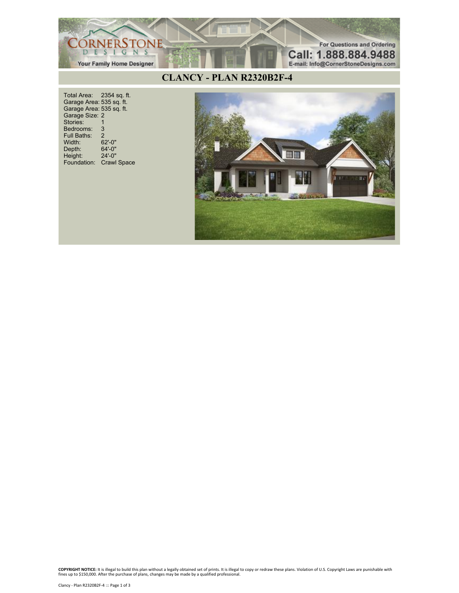

Total Area: 2354 sq. ft. Garage Area: 535 sq. ft. Garage Area: 535 sq. ft. Garage Size: 2 Stories: 1 Bedrooms: 3<br>Full Baths: 2 Full Baths: 2<br>Width: 62'-0" Width: 62'-0"<br>Depth: 64'-0" Depth: 64'-0"<br>Height: 24'-0" Height: Foundation: Crawl Space



**COPYRIGHT NOTICE:** It is illegal to build this plan without a legally obtained set of prints. It is illegal to copy or redraw these plans. Violation of U.S. Copyright Laws are punishable with<br>fines up to \$150,000. After t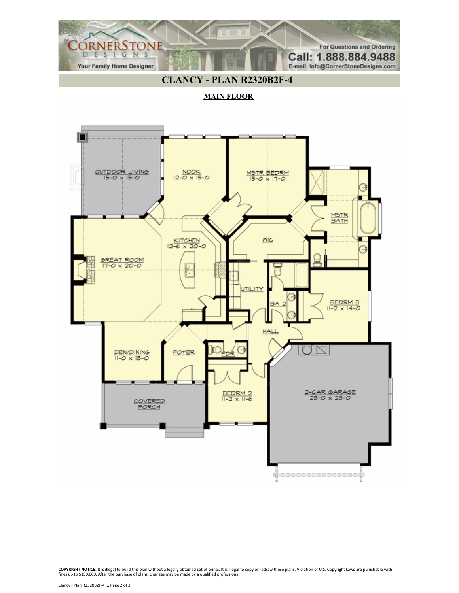

## **CLANCY - PLAN R2320B2F-4**

**MAIN FLOOR**



**COPYRIGHT NOTICE:** It is illegal to build this plan without a legally obtained set of prints. It is illegal to copy or redraw these plans. Violation of U.S. Copyright Laws are punishable with<br>fines up to \$150,000. After t